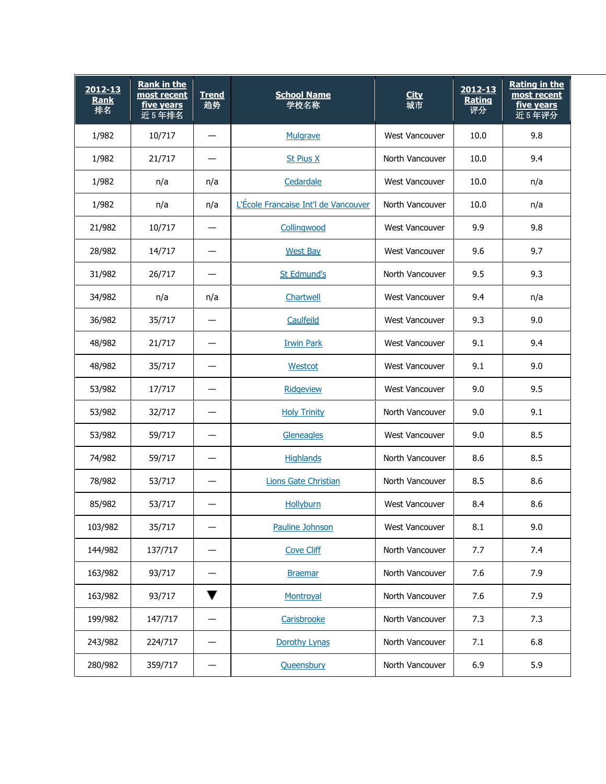| 2012-13<br>Rank<br>排名 | <b>Rank in the</b><br>most recent<br>five years<br>近5年排名 | <b>Trend</b><br>趋势 | <b>School Name</b><br>学校名称           | <b>City</b><br>城市 | $2012 - 13$<br>Rating<br>评分 | <b>Rating in the</b><br>most recent<br>five years<br>近5年评分 |
|-----------------------|----------------------------------------------------------|--------------------|--------------------------------------|-------------------|-----------------------------|------------------------------------------------------------|
| 1/982                 | 10/717                                                   |                    | Mulgrave                             | West Vancouver    | 10.0                        | 9.8                                                        |
| 1/982                 | 21/717                                                   |                    | <b>St Pius X</b>                     | North Vancouver   | 10.0                        | 9.4                                                        |
| 1/982                 | n/a                                                      | n/a                | Cedardale                            | West Vancouver    | 10.0                        | n/a                                                        |
| 1/982                 | n/a                                                      | n/a                | L'École Francaise Int'l de Vancouver | North Vancouver   | 10.0                        | n/a                                                        |
| 21/982                | 10/717                                                   |                    | Collingwood                          | West Vancouver    | 9.9                         | 9.8                                                        |
| 28/982                | 14/717                                                   |                    | <b>West Bay</b>                      | West Vancouver    | 9.6                         | 9.7                                                        |
| 31/982                | 26/717                                                   |                    | <b>St Edmund's</b>                   | North Vancouver   | 9.5                         | 9.3                                                        |
| 34/982                | n/a                                                      | n/a                | Chartwell                            | West Vancouver    | 9.4                         | n/a                                                        |
| 36/982                | 35/717                                                   |                    | Caulfeild                            | West Vancouver    | 9.3                         | 9.0                                                        |
| 48/982                | 21/717                                                   |                    | <b>Irwin Park</b>                    | West Vancouver    | 9.1                         | 9.4                                                        |
| 48/982                | 35/717                                                   |                    | Westcot                              | West Vancouver    | 9.1                         | 9.0                                                        |
| 53/982                | 17/717                                                   |                    | <b>Ridgeview</b>                     | West Vancouver    | 9.0                         | 9.5                                                        |
| 53/982                | 32/717                                                   |                    | <b>Holy Trinity</b>                  | North Vancouver   | 9.0                         | 9.1                                                        |
| 53/982                | 59/717                                                   |                    | Gleneagles                           | West Vancouver    | 9.0                         | 8.5                                                        |
| 74/982                | 59/717                                                   |                    | <b>Highlands</b>                     | North Vancouver   | 8.6                         | 8.5                                                        |
| 78/982                | 53/717                                                   |                    | <b>Lions Gate Christian</b>          | North Vancouver   | 8.5                         | 8.6                                                        |
| 85/982                | 53/717                                                   |                    | <b>Hollyburn</b>                     | West Vancouver    | 8.4                         | 8.6                                                        |
| 103/982               | 35/717                                                   |                    | Pauline Johnson                      | West Vancouver    | 8.1                         | 9.0                                                        |
| 144/982               | 137/717                                                  |                    | <b>Cove Cliff</b>                    | North Vancouver   | 7.7                         | 7.4                                                        |
| 163/982               | 93/717                                                   |                    | <b>Braemar</b>                       | North Vancouver   | 7.6                         | 7.9                                                        |
| 163/982               | 93/717                                                   | ▼                  | Montroyal                            | North Vancouver   | 7.6                         | 7.9                                                        |
| 199/982               | 147/717                                                  |                    | Carisbrooke                          | North Vancouver   | 7.3                         | 7.3                                                        |
| 243/982               | 224/717                                                  |                    | Dorothy Lynas                        | North Vancouver   | 7.1                         | 6.8                                                        |
| 280/982               | 359/717                                                  |                    | Queensbury                           | North Vancouver   | 6.9                         | 5.9                                                        |